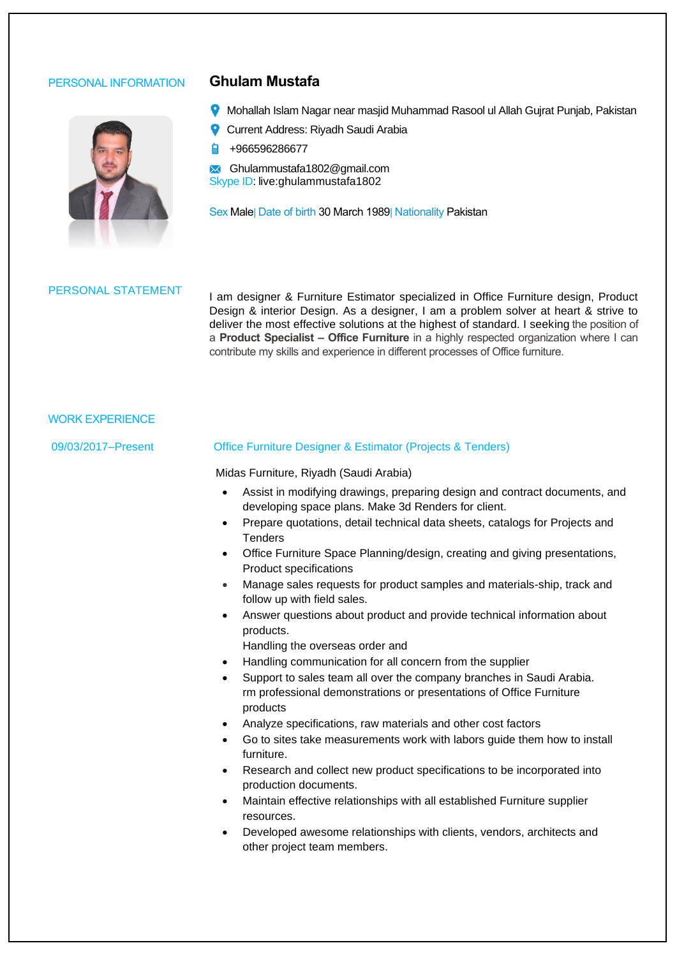# PERSONAL INFORMATION **Ghulam Mustafa**



- **9** Mohallah Islam Nagar near masjid Muhammad Rasool ul Allah Gujrat Punjab, Pakistan
- **Current Address: Riyadh Saudi Arabia**
- $\blacksquare$  +966596286677

Ghulammustafa1802@gmail.com Skype ID: live:ghulammustafa1802

**Sex Male| Date of birth 30 March 1989| Nationality Pakistan** 

PERSONAL STATEMENT I am designer & Furniture Estimator specialized in Office Furniture design, Product Design & interior Design. As a designer, I am a problem solver at heart & strive to deliver the most effective solutions at the highest of standard. I seeking the position of a **Product Specialist – Office Furniture** in a highly respected organization where I can contribute my skills and experience in different processes of Office furniture.

## WORK EXPERIENCE

### 09/03/2017–Present Office Furniture Designer & Estimator (Projects & Tenders)

Midas Furniture, Riyadh (Saudi Arabia)

- Assist in modifying drawings, preparing design and contract documents, and developing space plans. Make 3d Renders for client.
- Prepare quotations, detail technical data sheets, catalogs for Projects and **Tenders**
- Office Furniture Space Planning/design, creating and giving presentations, Product specifications
- Manage sales requests for product samples and materials-ship, track and follow up with field sales.
- Answer questions about product and provide technical information about products.
	- Handling the overseas order and
- Handling communication for all concern from the supplier
- Support to sales team all over the company branches in Saudi Arabia. rm professional demonstrations or presentations of Office Furniture products
- Analyze specifications, raw materials and other cost factors
- Go to sites take measurements work with labors guide them how to install furniture.
- Research and collect new product specifications to be incorporated into production documents.
- Maintain effective relationships with all established Furniture supplier resources.
- Developed awesome relationships with clients, vendors, architects and other project team members.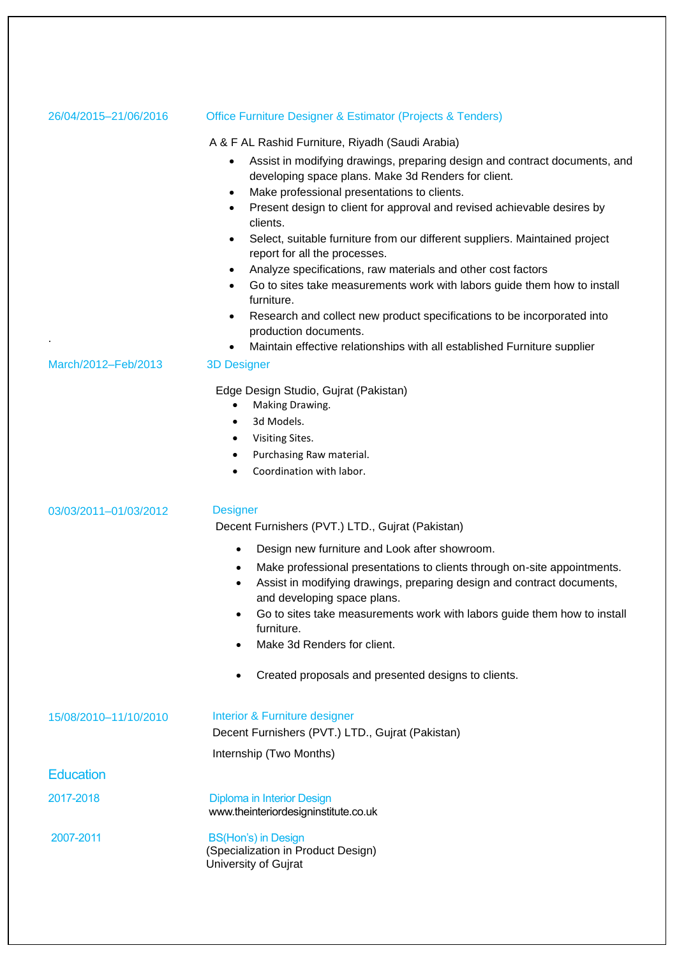| 26/04/2015-21/06/2016 | <b>Office Furniture Designer &amp; Estimator (Projects &amp; Tenders)</b>                                                                        |  |  |
|-----------------------|--------------------------------------------------------------------------------------------------------------------------------------------------|--|--|
|                       | A & F AL Rashid Furniture, Riyadh (Saudi Arabia)                                                                                                 |  |  |
|                       | Assist in modifying drawings, preparing design and contract documents, and<br>$\bullet$                                                          |  |  |
|                       | developing space plans. Make 3d Renders for client.                                                                                              |  |  |
|                       | Make professional presentations to clients.<br>$\bullet$<br>Present design to client for approval and revised achievable desires by<br>$\bullet$ |  |  |
|                       | clients.                                                                                                                                         |  |  |
|                       | Select, suitable furniture from our different suppliers. Maintained project<br>$\bullet$<br>report for all the processes.                        |  |  |
|                       | Analyze specifications, raw materials and other cost factors<br>٠                                                                                |  |  |
|                       | Go to sites take measurements work with labors guide them how to install<br>$\bullet$<br>furniture.                                              |  |  |
|                       | Research and collect new product specifications to be incorporated into<br>$\bullet$                                                             |  |  |
|                       | production documents.                                                                                                                            |  |  |
| March/2012-Feb/2013   | Maintain effective relationships with all established Furniture supplier<br>$\bullet$                                                            |  |  |
|                       | <b>3D Designer</b>                                                                                                                               |  |  |
|                       | Edge Design Studio, Gujrat (Pakistan)                                                                                                            |  |  |
|                       | Making Drawing.<br>3d Models.<br>$\bullet$                                                                                                       |  |  |
|                       | Visiting Sites.<br>٠                                                                                                                             |  |  |
|                       | Purchasing Raw material.<br>$\bullet$                                                                                                            |  |  |
|                       | Coordination with labor.<br>$\bullet$                                                                                                            |  |  |
|                       |                                                                                                                                                  |  |  |
| 03/03/2011-01/03/2012 | <b>Designer</b>                                                                                                                                  |  |  |
|                       | Decent Furnishers (PVT.) LTD., Gujrat (Pakistan)                                                                                                 |  |  |
|                       | Design new furniture and Look after showroom.<br>$\bullet$                                                                                       |  |  |
|                       | Make professional presentations to clients through on-site appointments.<br>$\bullet$                                                            |  |  |
|                       | Assist in modifying drawings, preparing design and contract documents,<br>$\bullet$<br>and developing space plans.                               |  |  |
|                       | Go to sites take measurements work with labors guide them how to install                                                                         |  |  |
|                       | furniture.                                                                                                                                       |  |  |
|                       | Make 3d Renders for client.<br>$\bullet$                                                                                                         |  |  |
|                       | Created proposals and presented designs to clients.                                                                                              |  |  |
|                       |                                                                                                                                                  |  |  |
| 15/08/2010-11/10/2010 |                                                                                                                                                  |  |  |
|                       | Interior & Furniture designer                                                                                                                    |  |  |
|                       | Decent Furnishers (PVT.) LTD., Gujrat (Pakistan)                                                                                                 |  |  |
| <b>Education</b>      | Internship (Two Months)                                                                                                                          |  |  |
|                       |                                                                                                                                                  |  |  |
| 2017-2018             | Diploma in Interior Design<br>www.theinteriordesigninstitute.co.uk                                                                               |  |  |
|                       |                                                                                                                                                  |  |  |
| 2007-2011             | <b>BS(Hon's) in Design</b><br>(Specialization in Product Design)                                                                                 |  |  |
|                       | University of Gujrat                                                                                                                             |  |  |